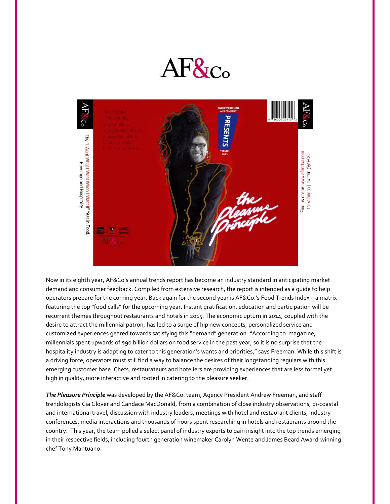



Now in its eighth year, AF&Co's annual trends report has become an industry standard in anticipating market demand and consumer feedback. Compiled from extensive research, the report is intended as a guide to help operators prepare for the coming year. Back again for the second year is AF&Co.'s Food Trends Index – a matrix featuring the top "food calls" for the upcoming year. Instant gratification, education and participation will be recurrent themes throughout restaurants and hotels in 2015. The economic upturn in 2014, coupled with the desire to attract the millennial patron, has led to a surge of hip new concepts, personalized service and customized experiences geared towards satisfying this "demand" generation. "According to magazine, millennials spent upwards of \$90 billion dollars on food service in the past year, so it is no surprise that the hospitality industry is adapting to cater to this generation's wants and priorities," says Freeman. While this shift is a driving force, operators must still find a way to balance the desires of their longstanding regulars with this emerging customer base. Chefs, restaurateurs and hoteliers are providing experiences that are less formal yet high in quality, more interactive and rooted in catering to the pleasure seeker.

*The Pleasure Principle* was developed by the AF&Co. team, Agency President Andrew Freeman, and staff trendologists Cia Glover and Candace MacDonald, from a combination of close industry observations, bi-coastal and international travel, discussion with industry leaders, meetings with hotel and restaurant clients, industry conferences, media interactions and thousands of hours spent researching in hotels and restaurants around the country. This year, the team polled a select panel of industry experts to gain insight into the top trends emerging in their respective fields, including fourth generation winemaker Carolyn Wente and James Beard Award-winning chef Tony Mantuano.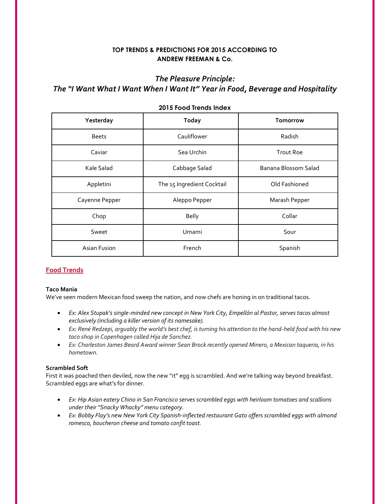## **TOP TRENDS & PREDICTIONS FOR 2015 ACCORDING TO ANDREW FREEMAN & Co.**

## *The Pleasure Principle:*

# *The "I Want What I Want When I Want It" Year in Food, Beverage and Hospitality*

| Yesterday      | <b>Today</b>               | Tomorrow             |
|----------------|----------------------------|----------------------|
| <b>Beets</b>   | Cauliflower                | Radish               |
| Caviar         | Sea Urchin                 | <b>Trout Roe</b>     |
| Kale Salad     | Cabbage Salad              | Banana Blossom Salad |
| Appletini      | The 15 Ingredient Cocktail | Old Fashioned        |
| Cayenne Pepper | Aleppo Pepper              | Marash Pepper        |
| Chop           | <b>Belly</b>               | Collar               |
| Sweet          | Umami                      | Sour                 |
| Asian Fusion   | French                     | Spanish              |

### **2015 Food Trends Index**

## **Food Trends**

### **Taco Mania**

We've seen modern Mexican food sweep the nation, and now chefs are honing in on traditional tacos.

- *Ex: Alex Stupak's single-minded new concept in New York City, Empellón al Pastor, serves tacos almost exclusively (including a killer version of its namesake).*
- *Ex: René Redzepi, arguably the world's best chef, is turning his attention to the hand-held food with his new taco shop in Copenhagen called Hija de Sanchez.*
- *Ex: Charleston James Beard Award winner Sean Brock recently opened Minero, a Mexican taqueria, in his hometown.*

### **Scrambled Soft**

First it was poached then deviled, now the new "it" egg is scrambled. And we're talking way beyond breakfast. Scrambled eggs are what's for dinner.

- *Ex: Hip Asian eatery Chino in San Francisco serves scrambled eggs with heirloom tomatoes and scallions under their "Snacky Whacky" menu category.*
- *Ex: Bobby Flay's new New York City Spanish-inflected restaurant Gato offers scrambled eggs with almond romesco, boucheron cheese and tomato confit toast.*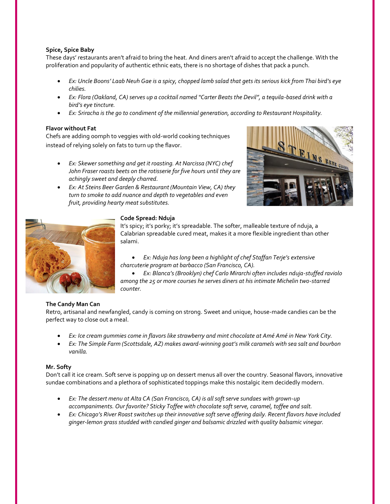### **Spice, Spice Baby**

These days' restaurants aren't afraid to bring the heat. And diners aren't afraid to accept the challenge. With the proliferation and popularity of authentic ethnic eats, there is no shortage of dishes that pack a punch.

- *Ex: Uncle Boons' Laab Neuh Gae is a spicy, chopped lamb salad that gets its serious kick from Thai bird's eye chilies.*
- *Ex: Flora (Oakland, CA) serves up a cocktail named "Carter Beats the Devil", a tequila-based drink with a bird's eye tincture.*
- *Ex: Sriracha is the go to condiment of the millennial generation, according to Restaurant Hospitality.*

### **Flavor without Fat**

Chefs are adding oomph to veggies with old-world cooking techniques instead of relying solely on fats to turn up the flavor.

- *Ex: Skewer something and get it roasting. At Narcissa (NYC) chef John Fraser roasts beets on the rotisserie for five hours until they are achingly sweet and deeply charred.*
- *Ex: At Steins Beer Garden & Restaurant (Mountain View, CA) they turn to smoke to add nuance and depth to vegetables and even fruit, providing hearty meat substitutes.*





### **Code Spread: Nduja**

It's spicy; it's porky; it's spreadable. The softer, malleable texture of nduja, a Calabrian spreadable cured meat, makes it a more flexible ingredient than other salami.

### *Ex: Nduja has long been a highlight of chef Staffan Terje's extensive charcuterie program at barbacco (San Francisco, CA).*

 *Ex: Blanca's (Brooklyn) chef Carlo Mirarchi often includes nduja-stuffed raviolo among the 25 or more courses he serves diners at his intimate Michelin two-starred counter.*

### **The Candy Man Can**

Retro, artisanal and newfangled, candy is coming on strong. Sweet and unique, house-made candies can be the perfect way to close out a meal.

- *Ex: Ice cream gummies come in flavors like strawberry and mint chocolate at Amé Amé in New York City.*
- *Ex: The Simple Farm (Scottsdale, AZ) makes award-winning goat's milk caramels with sea salt and bourbon vanilla.*

### **Mr. Softy**

Don't call it ice cream. Soft serve is popping up on dessert menus all over the country. Seasonal flavors, innovative sundae combinations and a plethora of sophisticated toppings make this nostalgic item decidedly modern.

- *Ex: The dessert menu at Alta CA (San Francisco, CA) is all soft serve sundaes with grown-up accompaniments. Our favorite? Sticky Toffee with chocolate soft serve, caramel, toffee and salt.*
- *Ex: Chicago's River Roast switches up their innovative soft serve offering daily. Recent flavors have included ginger-lemon grass studded with candied ginger and balsamic drizzled with quality balsamic vinegar.*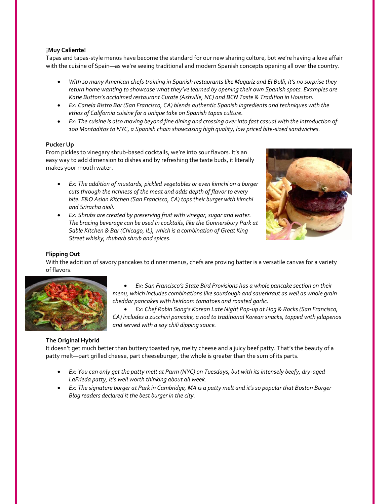### ¡**Muy Caliente!**

Tapas and tapas-style menus have become the standard for our new sharing culture, but we're having a love affair with the cuisine of Spain—as we're seeing traditional and modern Spanish concepts opening all over the country.

- *With so many American chefs training in Spanish restaurants like Mugariz and El Bulli, it's no surprise they return home wanting to showcase what they've learned by opening their own Spanish spots. Examples are*  Katie Button's acclaimed restaurant Curate (Ashville, NC) and BCN Taste & Tradition in Houston.
- *Ex: Canela Bistro Bar (San Francisco, CA) blends authentic Spanish ingredients and techniques with the ethos of California cuisine for a unique take on Spanish tapas culture.*
- *Ex: The cuisine is also moving beyond fine dining and crossing over into fast casual with the introduction of 100 Montaditos to NYC, a Spanish chain showcasing high quality, low priced bite-sized sandwiches.*

### **Pucker Up**

From pickles to vinegary shrub-based cocktails, we're into sour flavors. It's an easy way to add dimension to dishes and by refreshing the taste buds, it literally makes your mouth water.

- *Ex: The addition of mustards, pickled vegetables or even kimchi on a burger cuts through the richness of the meat and adds depth of flavor to every bite. E&O Asian Kitchen (San Francisco, CA) tops their burger with kimchi and Sriracha aioli.*
- *Ex: Shrubs are created by preserving fruit with vinegar, sugar and water. The bracing beverage can be used in cocktails, like the Gunnersbury Park at Sable Kitchen & Bar (Chicago, IL), which is a combination of Great King Street whisky, rhubarb shrub and spices.*



## **Flipping Out**

With the addition of savory pancakes to dinner menus, chefs are proving batter is a versatile canvas for a variety of flavors.



 *Ex: San Francisco's State Bird Provisions has a whole pancake section on their menu, which includes combinations like sourdough and sauerkraut as well as whole grain cheddar pancakes with heirloom tomatoes and roasted garlic.*

 *Ex: Chef Robin Song's Korean Late Night Pop-up at Hog & Rocks (San Francisco, CA) includes a zucchini pancake, a nod to traditional Korean snacks, topped with jalapenos and served with a soy chili dipping sauce.*

## **The Original Hybrid**

It doesn't get much better than buttery toasted rye, melty cheese and a juicy beef patty. That's the beauty of a patty melt—part grilled cheese, part cheeseburger, the whole is greater than the sum of its parts.

- *Ex: You can only get the patty melt at Parm (NYC) on Tuesdays, but with its intensely beefy, dry-aged LaFrieda patty, it's well worth thinking about all week.*
- *Ex: The signature burger at Park in Cambridge, MA is a patty melt and it's so popular that Boston Burger Blog readers declared it the best burger in the city.*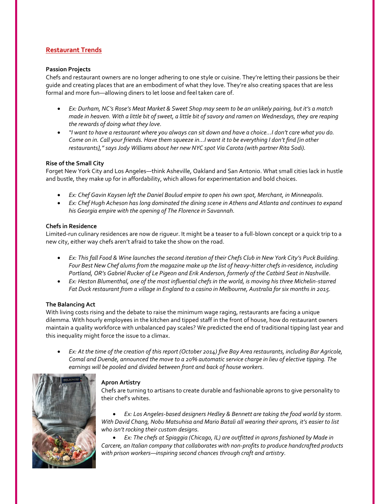## **Restaurant Trends**

### **Passion Projects**

Chefs and restaurant owners are no longer adhering to one style or cuisine. They're letting their passions be their guide and creating places that are an embodiment of what they love. They're also creating spaces that are less formal and more fun—allowing diners to let loose and feel taken care of.

- *Ex: Durham, NC's Rose's Meat Market & Sweet Shop may seem to be an unlikely pairing, but it's a match made in heaven. With a little bit of sweet, a little bit of savory and ramen on Wednesdays, they are reaping the rewards of doing what they love.*
- *"I want to have a restaurant where you always can sit down and have a choice...I don't care what you do. Come on in. Call your friends. Have them squeeze in…I want it to be everything I don't find [in other restaurants]," says Jody Williams about her new NYC spot Via Carota (with partner Rita Sodi).*

### **Rise of the Small City**

Forget New York City and Los Angeles—think Asheville, Oakland and San Antonio. What small cities lack in hustle and bustle, they make up for in affordability, which allows for experimentation and bold choices.

- *Ex: Chef [Gavin Kaysen](http://gavinkaysen.com/) left the Daniel Boulud empire to open his own spot, Merchant, in Minneapolis.*
- *Ex: Chef Hugh Acheson has long dominated the dining scene in Athens and Atlanta and continues to expand his Georgia empire with the opening of The Florence in Savannah.*

### **Chefs in Residence**

Limited-run culinary residences are now de rigueur. It might be a teaser to a full-blown concept or a quick trip to a new city, either way chefs aren't afraid to take the show on the road.

- **Ex: This fall Food & Wine launches the second iteration of their Chefs Club in New York City's Puck Building.** *Four Best New Chef alums from the magazine make up the list of heavy-hitter chefs in-residence, including Portland, OR's Gabriel Rucker of Le Pigeon and Erik Anderson, formerly of the Catbird Seat in Nashville.*
- *Ex: Heston Blumenthal, one of the most influential chefs in the world, is moving his three Michelin-starred Fat Duck restaurant from a village in England to a casino in Melbourne, Australia for six months in 2015.*

### **The Balancing Act**

With living costs rising and the debate to raise the minimum wage raging, restaurants are facing a unique dilemma. With hourly employees in the kitchen and tipped staff in the front of house, how do restaurant owners maintain a quality workforce with unbalanced pay scales? We predicted the end of traditional tipping last year and this inequality might force the issue to a climax.

*Ex: At the time of the creation of this report (October 2014) five Bay Area restaurants, including Bar Agricole, Comal and Duende, announced the move to a 20% automatic service charge in lieu of elective tipping. The earnings will be pooled and divided between front and back of house workers.*



## **Apron Artistry**

Chefs are turning to artisans to create durable and fashionable aprons to give personality to their chef's whites.

 *Ex: Los Angeles-based designers Hedley & Bennett are taking the food world by storm. With David Chang, Nobu Matsuhisa and Mario Batali all wearing their aprons, it's easier to list who isn't rocking their custom designs.*

 *Ex: The chefs at Spiaggia (Chicago, IL) are outfitted in aprons fashioned by Made in Carcere, an Italian company that collaborates with non-profits to produce handcrafted products with prison workers—inspiring second chances through craft and artistry.*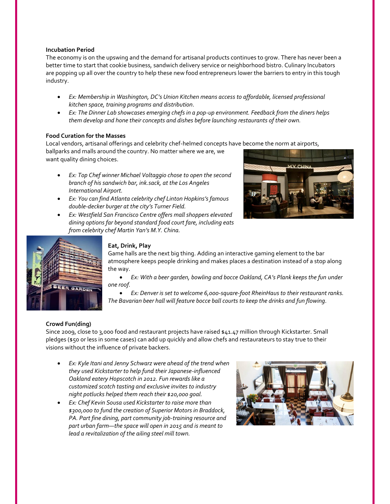### **Incubation Period**

The economy is on the upswing and the demand for artisanal products continues to grow. There has never been a better time to start that cookie business, sandwich delivery service or neighborhood bistro. Culinary Incubators are popping up all over the country to help these new food entrepreneurs lower the barriers to entry in this tough industry.

- *Ex: Membership in Washington, DC's Union Kitchen means access to affordable, licensed professional kitchen space, training programs and distribution.*
- *Ex: The Dinner Lab showcases emerging chefs in a pop-up environment. Feedback from the diners helps them develop and hone their concepts and dishes before launching restaurants of their own.*

### **Food Curation for the Masses**

Local vendors, artisanal offerings and celebrity chef-helmed concepts have become the norm at airports,

ballparks and malls around the country. No matter where we are, we want quality dining choices.

- *Ex: Top Chef winner Michael Voltaggio chose to open the second branch of his sandwich bar, ink.sack, at the Los Angeles International Airport.*
- *Ex: You can find Atlanta celebrity chef Linton Hopkins's famous double-decker burger at the city's Turner Field.*
- *Ex: Westfield San Francisco Centre offers mall shoppers elevated dining options far beyond standard food court fare, including eats from celebrity chef Martin Yan's M.Y. China.*





## **Eat, Drink, Play**

Game halls are the next big thing. Adding an interactive gaming element to the bar atmosphere keeps people drinking and makes places a destination instead of a stop along the way.

 *Ex: With a beer garden, bowling and bocce Oakland, CA's Plank keeps the fun under one roof.*

 *Ex: Denver is set to welcome 6,000-square-foot RheinHaus to their restaurant ranks. The Bavarian beer hall will feature bocce ball courts to keep the drinks and fun flowing.*

## **Crowd Fun(ding)**

Since 2009, close to 3,000 food and restaurant projects have raised \$41.47 million through Kickstarter. Small pledges (\$50 or less in some cases) can add up quickly and allow chefs and restaurateurs to stay true to their visions without the influence of private backers.

- *Ex: Kyle Itani and Jenny Schwarz were ahead of the trend when they used Kickstarter to help fund their Japanese-influenced Oakland eatery Hopscotch in 2012. Fun rewards like a customized scotch tasting and exclusive invites to industry night potlucks helped them reach their \$20,000 goal.*
- *Ex: Chef Kevin Sousa used Kickstarter to raise more than \$300,000 to fund the creation of Superior Motors in Braddock, PA. Part fine dining, part community job-training resource and part urban farm—the space will open in 2015 and is meant to lead a revitalization of the ailing steel mill town.*

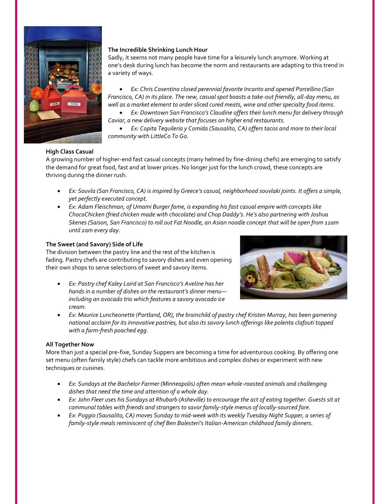

## **The Incredible Shrinking Lunch Hour**

Sadly, it seems not many people have time for a leisurely lunch anymore. Working at one's desk during lunch has become the norm and restaurants are adapting to this trend in a variety of ways.

 *Ex: Chris Cosentino closed perennial favorite Incanto and opened Porcellino (San Francisco, CA) in its place. The new, casual spot boasts a take-out friendly, all-day menu, as well as a market element to order sliced cured meats, wine and other specialty food items.*

 *Ex: Downtown San Francisco's Claudine offers their lunch menu for delivery through Caviar, a new delivery website that focuses on higher end restaurants.*

 *Ex: Copita Tequileria y Comida (Sausalito, CA) offers tacos and more to their local community with LittleCo To Go.* 

## **High Class Casual**

A growing number of higher-end fast casual concepts (many helmed by fine-dining chefs) are emerging to satisfy the demand for great food, fast and at lower prices. No longer just for the lunch crowd, these concepts are thriving during the dinner rush.

- *Ex: Souvla (San Francisco, CA) is inspired by Greece's casual, neighborhood souvlaki joints. It offers a simple, yet perfectly executed concept.*
- *Ex: Adam Fleischman, of Umami Burger fame, is expanding his fast casual empire with concepts like ChocoChicken (fried chicken made with chocolate) and Chop Daddy's. He's also partnering with Joshua Skenes (Saison, San Francisco) to roll out Fat Noodle, an Asian noodle concept that will be open from 11am until 2am every day.*

## **The Sweet (and Savory) Side of Life**

The division between the pastry line and the rest of the kitchen is fading. Pastry chefs are contributing to savory dishes and even opening their own shops to serve selections of sweet and savory items.

 *Ex: Pastry chef Kaley Laird at San Francisco's Aveline has her hands in a number of dishes on the restaurant's dinner menu including an avocado trio which features a savory avocado ice cream.*



 *Ex: Maurice Luncheonette (Portland, OR), the brainchild of pastry chef Kristen Murray, has been garnering national acclaim for its innovative pastries, but also its savory lunch offerings like polenta clafouti topped with a farm-fresh poached egg.*

## **All Together Now**

More than just a special pre-fixe, Sunday Suppers are becoming a time for adventurous cooking. By offering one set menu (often family style) chefs can tackle more ambitious and complex dishes or experiment with new techniques or cuisines.

- *Ex: Sundays at the Bachelor Farmer (Minneapolis) often mean whole-roasted animals and challenging dishes that need the time and attention of a whole day.*
- *Ex: John Fleer uses his Sundays at Rhubarb (Asheville) to encourage the act of eating together. Guests sit at communal tables with friends and strangers to savor family-style menus of locally-sourced fare.*
- *Ex: Poggio (Sausalito, CA) moves Sunday to mid-week with its weekly Tuesday Night Supper, a series of family-style meals reminiscent of chef Ben Balesteri's Italian-American childhood family dinners.*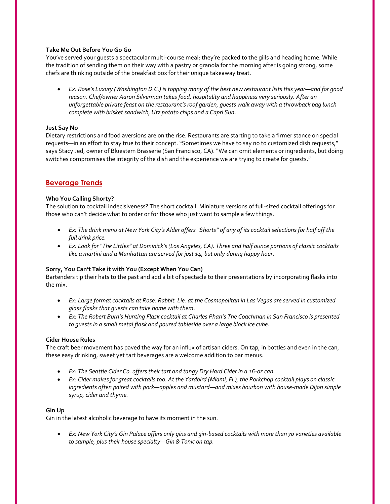### **Take Me Out Before You Go Go**

You've served your guests a spectacular multi-course meal; they're packed to the gills and heading home. While the tradition of sending them on their way with a pastry or granola for the morning after is going strong, some chefs are thinking outside of the breakfast box for their unique takeaway treat.

 *Ex: Rose's Luxury (Washington D.C.) is topping many of the best new restaurant lists this year—and for good reason. Chef/owner Aaron Silverman takes food, hospitality and happiness very seriously. After an unforgettable private feast on the restaurant's roof garden, guests walk away with a throwback bag lunch complete with brisket sandwich, Utz potato chips and a Capri Sun.*

### **Just Say No**

Dietary restrictions and food aversions are on the rise. Restaurants are starting to take a firmer stance on special requests—in an effort to stay true to their concept. "Sometimes we have to say no to customized dish requests," says Stacy Jed, owner of Bluestem Brasserie (San Francisco, CA). "We can omit elements or ingredients, but doing switches compromises the integrity of the dish and the experience we are trying to create for guests."

## **Beverage Trends**

### **Who You Calling Shorty?**

The solution to cocktail indecisiveness? The short cocktail. Miniature versions of full-sized cocktail offerings for those who can't decide what to order or for those who just want to sample a few things.

- *Ex: The drink menu at New York City's Alder offers "Shorts" of any of its cocktail selections for half off the full drink price.*
- *Ex: Look for "The Littles" at Dominick's (Los Angeles, CA). Three and half ounce portions of classic cocktails like a martini and a Manhattan are served for just \$4, but only during happy hour.*

### **Sorry, You Can't Take it with You (Except When You Can)**

Bartenders tip their hats to the past and add a bit of spectacle to their presentations by incorporating flasks into the mix.

- *Ex: Large format cocktails at Rose. Rabbit. Lie. at the Cosmopolitan in Las Vegas are served in customized glass flasks that guests can take home with them.*
- *Ex: The Robert Burn's Hunting Flask cocktail at Charles Phan's The Coachman in San Francisco is presented to guests in a small metal flask and poured tableside over a large block ice cube.*

### **Cider House Rules**

The craft beer movement has paved the way for an influx of artisan ciders. On tap, in bottles and even in the can, these easy drinking, sweet yet tart beverages are a welcome addition to bar menus.

- *Ex: The Seattle Cider Co. offers their tart and tangy Dry Hard Cider in a 16-oz can.*
- *Ex: Cider makes for great cocktails too. At the Yardbird (Miami, FL), the Porkchop cocktail plays on classic ingredients often paired with pork—apples and mustard—and mixes bourbon with house-made Dijon simple syrup, cider and thyme.*

### **Gin Up**

Gin in the latest alcoholic beverage to have its moment in the sun.

 *Ex: New York City's Gin Palace offers only gins and gin-based cocktails with more than 70 varieties available to sample, plus their house specialty—Gin & Tonic on tap.*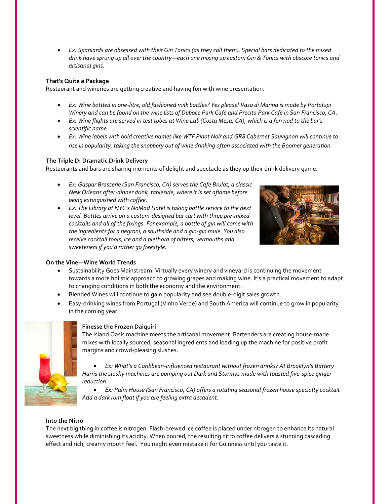*Ex: Spaniards are obsessed with their Gin Tonics (as they call them). Special bars dedicated to the mixed drink have sprung up all over the country—each one mixing up custom Gin & Tonics with obscure tonics and artisanal gins.*

## **That's Quite a Package**

Restaurant and wineries are getting creative and having fun with wine presentation.

- *Ex: Wine bottled in one-litre, old fashioned milk bottles? Yes please! Vaso di Marina is made by Portalupi Winery and can be found on the wine lists of Duboce Park Café and Precita Park Café in San Francisco, CA.*
- *Ex: Wine flights are served in test tubes at Wine Lab (Costa Mesa, CA), which is a fun nod to the bar's scientific name.*
- *Ex: Wine labels with bold creative names like WTF Pinot Noir and GR8 Cabernet Sauvignon will continue to rise in popularity, taking the snobbery out of wine drinking often associated with the Boomer generation.*

## **The Triple D: Dramatic Drink Delivery**

Restaurants and bars are sharing moments of delight and spectacle as they up their drink delivery game.

- *Ex: Gaspar Brasserie (San Francisco, CA) serves the Cafe Brulot, a classic New Orleans after-dinner drink, tableside, where it is set aflame before being extinguished with coffee.*
- *Ex: The Library at NYC's NoMad Hotel is taking bottle service to the next level. Bottles arrive on a custom-designed bar cart with three pre-mixed cocktails and all of the fixings. For example, a bottle of gin will come with the ingredients for a negroni, a southside and a gin-gin mule. You also receive cocktail tools, ice and a plethora of bitters, vermouths and sweeteners if you'd rather go freestyle.*



## **On the Vine—Wine World Trends**

- Sustainability Goes Mainstream: Virtually every winery and vineyard is continuing the movement towards a more holistic approach to growing grapes and making wine. It's a practical movement to adapt to changing conditions in both the economy and the environment.
- Blended Wines will continue to gain popularity and see double-digit sales growth.
- Easy-drinking wines from Portugal (Vinho Verde) and South America will continue to grow in popularity in the coming year.



## **Finesse the Frozen Daiquiri**

The Island Oasis machine meets the artisanal movement. Bartenders are creating house-made mixes with locally sourced, seasonal ingredients and loading up the machine for positive profit margins and crowd-pleasing slushes.

 *Ex: What's a Caribbean-influenced restaurant without frozen drinks? At Brooklyn's Battery Harris the slushy machines are pumping out Dark and Stormys made with toasted five-spice ginger reduction.*

 *Ex: Palm House (San Francisco, CA) offers a rotating seasonal frozen house specialty cocktail. Add a dark rum float if you are feeling extra decadent.* 

## **Into the Nitro**

The next big thing in coffee is nitrogen. Flash-brewed ice coffee is placed under nitrogen to enhance its natural sweetness while diminishing its acidity. When poured, the resulting nitro coffee delivers a stunning cascading effect and rich, creamy mouth feel. You might even mistake it for Guinness until you taste it.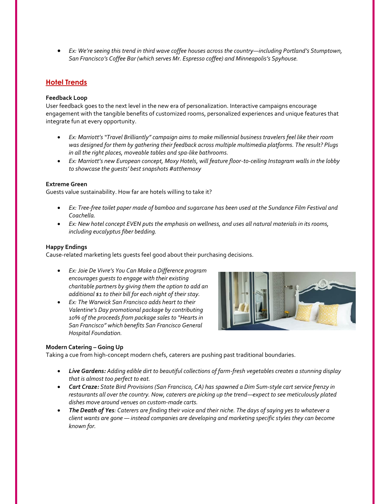*Ex: We're seeing this trend in third wave coffee houses across the country—including Portland's Stumptown, San Francisco's Coffee Bar (which serves Mr. Espresso coffee) and Minneapolis's Spyhouse.* 

## **Hotel Trends**

### **Feedback Loop**

User feedback goes to the next level in the new era of personalization. Interactive campaigns encourage engagement with the tangible benefits of customized rooms, personalized experiences and unique features that integrate fun at every opportunity.

- *Ex: Marriott's "Travel Brilliantly" campaign aims to make millennial business travelers feel like their room was designed for them by gathering their feedback across multiple multimedia platforms. The result? Plugs in all the right places, moveable tables and spa-like bathrooms.*
- *Ex: Marriott's new European concept, Moxy Hotels, will feature floor-to-ceiling Instagram walls in the lobby to showcase the guests' best snapshots #atthemoxy*

### **Extreme Green**

Guests value sustainability. How far are hotels willing to take it?

- *Ex: Tree-free toilet paper made of bamboo and sugarcane has been used at the Sundance Film Festival and Coachella.*
- *Ex: New hotel concept EVEN puts the emphasis on wellness, and uses all natural materials in its rooms, including eucalyptus fiber bedding.*

### **Happy Endings**

Cause-related marketing lets guests feel good about their purchasing decisions.

- *Ex: Joie De Vivre's You Can Make a Difference program encourages guests to engage with their existing charitable partners by giving them the option to add an additional \$1 to their bill for each night of their stay.*
- *Ex: The Warwick San Francisco adds heart to their Valentine's Day promotional package by contributing 10% of the proceeds from package sales to "Hearts in San Francisco" which benefits San Francisco General Hospital Foundation.*



### **Modern Catering – Going Up**

Taking a cue from high-concept modern chefs, caterers are pushing past traditional boundaries.

- *Live Gardens: Adding edible dirt to beautiful collections of farm-fresh vegetables creates a stunning display that is almost too perfect to eat.*
- *Cart Craze: State Bird Provisions (San Francisco, CA) has spawned a Dim Sum-style cart service frenzy in restaurants all over the country. Now, caterers are picking up the trend—expect to see meticulously plated dishes move around venues on custom-made carts.*
- *The Death of Yes: Caterers are finding their voice and their niche. The days of saying yes to whatever a client wants are gone — instead companies are developing and marketing specific styles they can become known for.*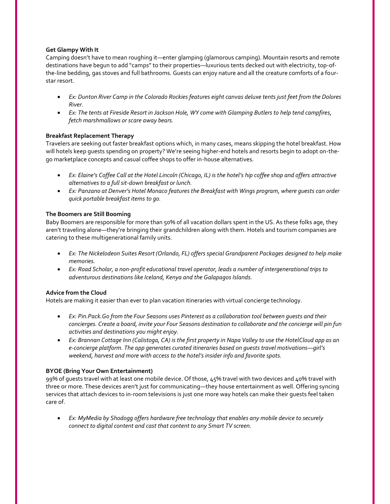### **Get Glampy With It**

Camping doesn't have to mean roughing it—enter glamping (glamorous camping). Mountain resorts and remote destinations have begun to add "camps" to their properties—luxurious tents decked out with electricity, top-ofthe-line bedding, gas stoves and full bathrooms. Guests can enjoy nature and all the creature comforts of a fourstar resort.

- *Ex: Dunton River Camp in the Colorado Rockies features eight canvas deluxe tents just feet from the Dolores River.*
- *Ex: The tents at Fireside Resort in Jackson Hole, WY come with Glamping Butlers to help tend campfires, fetch marshmallows or scare away bears.*

### **Breakfast Replacement Therapy**

Travelers are seeking out faster breakfast options which, in many cases, means skipping the hotel breakfast. How will hotels keep guests spending on property? We're seeing higher-end hotels and resorts begin to adopt on-thego marketplace concepts and casual coffee shops to offer in-house alternatives.

- **•** Ex: Elaine's Coffee Call at the Hotel Lincoln (Chicago, IL) is the hotel's hip coffee shop and offers attractive *alternatives to a full sit-down breakfast or lunch.*
- *Ex: Panzano at Denver's Hotel Monaco features the Breakfast with Wings program, where guests can order quick portable breakfast items to go.*

### **The Boomers are Still Booming**

Baby Boomers are responsible for more than 50% of all vacation dollars spent in the US. As these folks age, they aren't traveling alone—they're bringing their grandchildren along with them. Hotels and tourism companies are catering to these multigenerational family units.

- *Ex: The Nickelodeon Suites Resort (Orlando, FL) offers special Grandparent Packages designed to help make memories.*
- *Ex: Road Scholar, a non-profit educational travel operator, leads a number of intergenerational trips to adventurous destinations like Iceland, Kenya and the Galapagos Islands.*

### **Advice from the Cloud**

Hotels are making it easier than ever to plan vacation itineraries with virtual concierge technology.

- *Ex: Pin.Pack.Go from the Four Seasons uses Pinterest as a collaboration tool between guests and their*  concierges. Create a board, invite your Four Seasons destination to collaborate and the concierge will pin fun *activities and destinations you might enjoy.*
- *Ex: Brannan Cottage Inn (Calistoga, CA) is the first property in Napa Valley to use the HotelCloud app as an e-concierge platform. The app generates curated itineraries based on guests travel motivations—girl's weekend, harvest and more with access to the hotel's insider info and favorite spots.*

## **BYOE (Bring Your Own Entertainment)**

99% of guests travel with at least one mobile device. Of those, 45% travel with two devices and 40% travel with three or more. These devices aren't just for communicating—they house entertainment as well. Offering syncing services that attach devices to in-room televisions is just one more way hotels can make their guests feel taken care of.

 *Ex: MyMedia by Shodogg offers hardware free technology that enables any mobile device to securely connect to digital content and cast that content to any Smart TV screen.*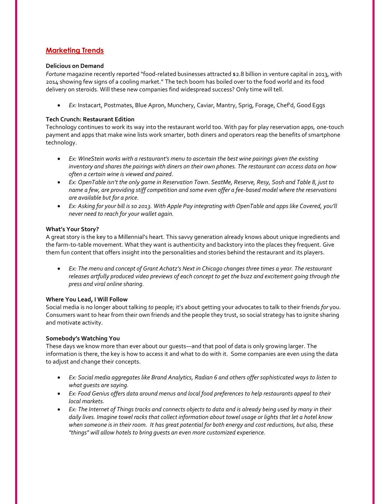## **Marketing Trends**

### **Delicious on Demand**

*Fortune* magazine recently reported "food-related businesses attracted \$2.8 billion in venture capital in 2013, with 2014 showing few signs of a cooling market." The tech boom has boiled over to the food world and its food delivery on steroids. Will these new companies find widespread success? Only time will tell.

*Ex:* Instacart, Postmates, Blue Apron, Munchery, Caviar, Mantry, Sprig, Forage, Chef'd, Good Eggs

### **Tech Crunch: Restaurant Edition**

Technology continues to work its way into the restaurant world too. With pay for play reservation apps, one-touch payment and apps that make wine lists work smarter, both diners and operators reap the benefits of smartphone technology.

- *Ex: WineStein works with a restaurant's menu to ascertain the best wine pairings given the existing inventory and shares the pairings with diners on their own phones. The restaurant can access data on how often a certain wine is viewed and paired.*
- *Ex: OpenTable isn't the only game in Reservation Town. SeatMe, Reserve, Resy, Sosh and Table 8, just to name a few, are providing stiff competition and some even offer a fee-based model where the reservations are available but for a price.*
- *Ex: Asking for your bill is so 2013. With Apple Pay integrating with OpenTable and apps like Covered, you'll never need to reach for your wallet again.*

### **What's Your Story?**

A great story is the key to a Millennial's heart. This savvy generation already knows about unique ingredients and the farm-to-table movement. What they want is authenticity and backstory into the places they frequent. Give them fun content that offers insight into the personalities and stories behind the restaurant and its players.

 *Ex: The menu and concept of Grant Achatz's Next in Chicago changes three times a year. The restaurant releases artfully produced video previews of each concept to get the buzz and excitement going through the press and viral online sharing.*

### **Where You Lead, I Will Follow**

Social media is no longer about talking *to* people; it's about getting your advocates to talk to their friends *for* you. Consumers want to hear from their own friends and the people they trust, so social strategy has to ignite sharing and motivate activity.

### **Somebody's Watching You**

These days we know more than ever about our guests—and that pool of data is only growing larger. The information is there, the key is how to access it and what to do with it. Some companies are even using the data to adjust and change their concepts.

- *Ex: Social media aggregates like Brand Analytics, Radian 6 and others offer sophisticated ways to listen to what guests are saying.*
- *Ex: Food Genius offers data around menus and local food preferences to help restaurants appeal to their local markets.*
- *Ex: The Internet of Things tracks and connects objects to data and is already being used by many in their daily lives. Imagine towel racks that collect information about towel usage or lights that let a hotel know when someone is in their room. It has great potential for both energy and cost reductions, but also, these "things" will allow hotels to bring guests an even more customized experience.*